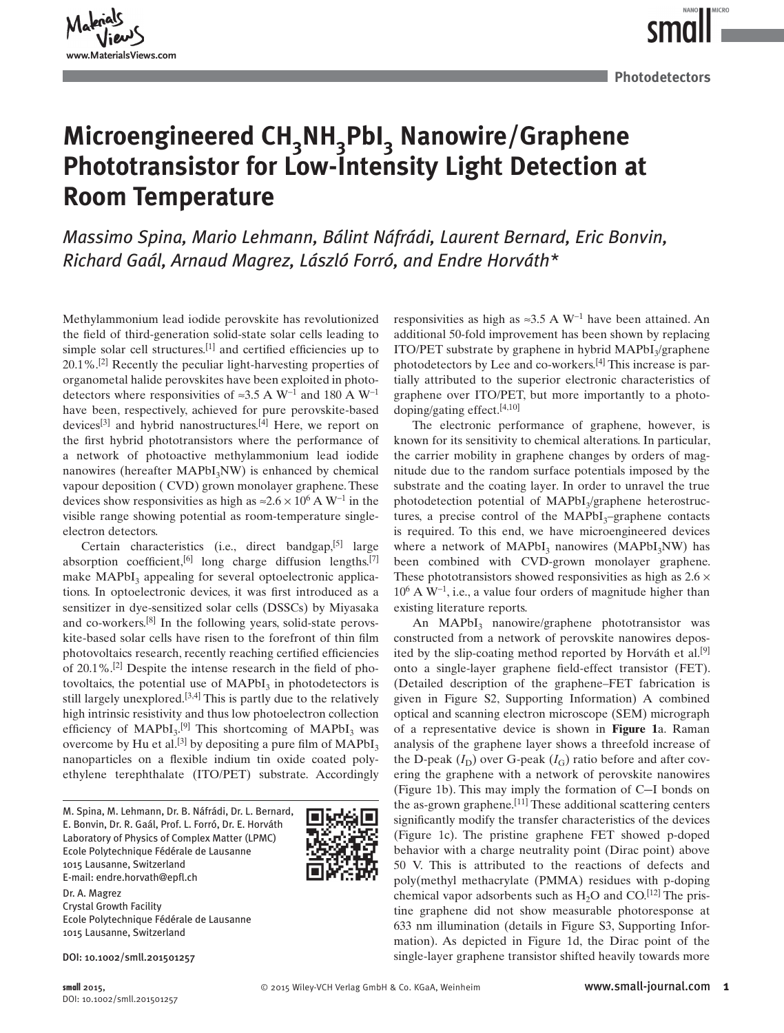MICRO

## Microengineered CH<sub>3</sub>NH<sub>3</sub>PbI<sub>3</sub> Nanowire/Graphene **Phototransistor for Low-Intensity Light Detection at Room Temperature**

*Massimo Spina, Mario Lehmann, Bálint Náfrádi, Laurent Bernard, Eric Bonvin, Richard Gaál , Arnaud Magrez , László Forró , and Endre Horváth \** 

 Methylammonium lead iodide perovskite has revolutionized the field of third-generation solid-state solar cells leading to simple solar cell structures.  $[1]$  and certified efficiencies up to  $20.1\%$ . <sup>[2]</sup> Recently the peculiar light-harvesting properties of organometal halide perovskites have been exploited in photodetectors where responsivities of ≈3.5 A W<sup>-1</sup> and 180 A W<sup>-1</sup> have been, respectively, achieved for pure perovskite-based devices $[3]$  and hybrid nanostructures. $[4]$  Here, we report on the first hybrid phototransistors where the performance of a network of photoactive methylammonium lead iodide nanowires (hereafter  $MAPbI<sub>3</sub>NW$ ) is enhanced by chemical vapour deposition ( CVD) grown monolayer graphene. These devices show responsivities as high as  $\approx 2.6 \times 10^6$  A W<sup>-1</sup> in the visible range showing potential as room-temperature singleelectron detectors.

Certain characteristics (i.e., direct bandgap, $[5]$  large absorption coefficient,  $[6]$  long charge diffusion lengths.  $[7]$ make MAPbI<sub>3</sub> appealing for several optoelectronic applications. In optoelectronic devices, it was first introduced as a sensitizer in dye-sensitized solar cells (DSSCs) by Miyasaka and co-workers.<sup>[8]</sup> In the following years, solid-state perovskite-based solar cells have risen to the forefront of thin film photovoltaics research, recently reaching certified efficiencies of  $20.1\%$ . <sup>[2]</sup> Despite the intense research in the field of photovoltaics, the potential use of  $MAPbI<sub>3</sub>$  in photodetectors is still largely unexplored.  $[3,4]$  This is partly due to the relatively high intrinsic resistivity and thus low photoelectron collection efficiency of  $MAPbI_3$ .<sup>[9]</sup> This shortcoming of  $MAPbI_3$  was overcome by Hu et al.<sup>[3]</sup> by depositing a pure film of  $MAPbI_3$ nanoparticles on a flexible indium tin oxide coated polyethylene terephthalate (ITO/PET) substrate. Accordingly

 M. Spina, M. Lehmann, Dr. B. Náfrádi, Dr. L. Bernard, E. Bonvin, Dr. R. Gaál, Prof. L. Forró, Dr. E. Horváth Laboratory of Physics of Complex Matter (LPMC) Ecole Polytechnique Fédérale de Lausanne 1015 Lausanne, Switzerland E-mail: endre.horvath@epfl.ch



 Dr. A. Magrez Crystal Growth Facility Ecole Polytechnique Fédérale de Lausanne 1015 Lausanne, Switzerland

**small** 2015, DOI: 10.1002/smll.201501257 responsivities as high as  $\approx 3.5$  A W<sup>-1</sup> have been attained. An additional 50-fold improvement has been shown by replacing ITO/PET substrate by graphene in hybrid  $MAPbI<sub>3</sub>/graphene$ photodetectors by Lee and co-workers. $[4]$  This increase is partially attributed to the superior electronic characteristics of graphene over ITO/PET, but more importantly to a photodoping/gating effect.  $[4,10]$ 

 The electronic performance of graphene, however, is known for its sensitivity to chemical alterations. In particular, the carrier mobility in graphene changes by orders of magnitude due to the random surface potentials imposed by the substrate and the coating layer. In order to unravel the true photodetection potential of MAPbI<sub>3</sub>/graphene heterostructures, a precise control of the  $MAPbI_3$ -graphene contacts is required. To this end, we have microengineered devices where a network of  $MAPbI_3$  nanowires (MAPbI $_3$ NW) has been combined with CVD-grown monolayer graphene. These phototransistors showed responsivities as high as  $2.6 \times$  $10^6$  A W<sup>-1</sup>, i.e., a value four orders of magnitude higher than existing literature reports.

An MAPbI<sub>3</sub> nanowire/graphene phototransistor was constructed from a network of perovskite nanowires deposited by the slip-coating method reported by Horváth et al.<sup>[9]</sup> onto a single-layer graphene field-effect transistor (FET). (Detailed description of the graphene–FET fabrication is given in Figure S2, Supporting Information) A combined optical and scanning electron microscope (SEM) micrograph of a representative device is shown in **Figure 1** a. Raman analysis of the graphene layer shows a threefold increase of the D-peak  $(I_D)$  over G-peak  $(I_G)$  ratio before and after covering the graphene with a network of perovskite nanowires (Figure 1b). This may imply the formation of C-I bonds on the as-grown graphene.  $[11]$  These additional scattering centers significantly modify the transfer characteristics of the devices (Figure 1c). The pristine graphene FET showed p-doped behavior with a charge neutrality point (Dirac point) above 50 V. This is attributed to the reactions of defects and poly(methyl methacrylate (PMMA) residues with p-doping chemical vapor adsorbents such as  $H_2O$  and  $CO<sup>[12]</sup>$  The pristine graphene did not show measurable photoresponse at 633 nm illumination (details in Figure S3, Supporting Information). As depicted in Figure 1d, the Dirac point of the DOI: 10.1002/smll.201501257 single-layer graphene transistor shifted heavily towards more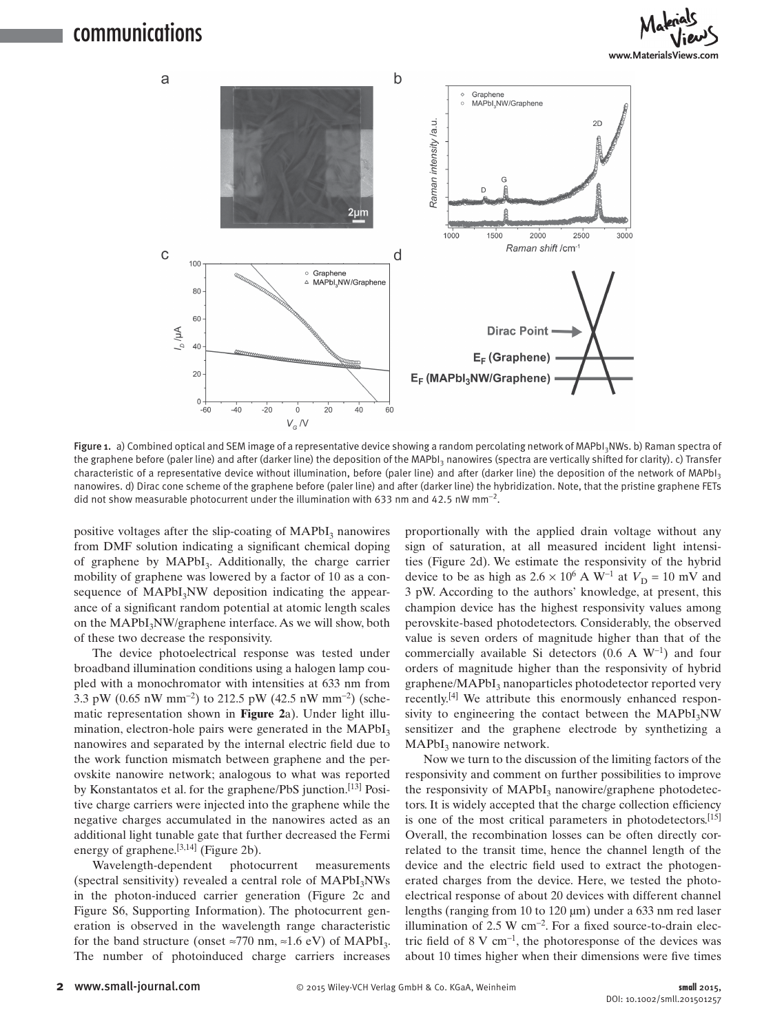### communications





Figure 1. a) Combined optical and SEM image of a representative device showing a random percolating network of MAPbI<sub>3</sub>NWs. b) Raman spectra of the graphene before (paler line) and after (darker line) the deposition of the MAPbI<sub>3</sub> nanowires (spectra are vertically shifted for clarity). c) Transfer characteristic of a representative device without illumination, before (paler line) and after (darker line) the deposition of the network of MAPbI<sub>3</sub> nanowires. d) Dirac cone scheme of the graphene before (paler line) and after (darker line) the hybridization. Note, that the pristine graphene FETs did not show measurable photocurrent under the illumination with 633 nm and 42.5 nW mm<sup>-2</sup>.

positive voltages after the slip-coating of  $MAPbI<sub>3</sub>$  nanowires from DMF solution indicating a significant chemical doping of graphene by MAPbI<sub>3</sub>. Additionally, the charge carrier mobility of graphene was lowered by a factor of 10 as a consequence of  $MAPbI<sub>3</sub>NW$  deposition indicating the appearance of a significant random potential at atomic length scales on the MAPbI<sub>3</sub>NW/graphene interface. As we will show, both of these two decrease the responsivity.

 The device photoelectrical response was tested under broadband illumination conditions using a halogen lamp coupled with a monochromator with intensities at 633 nm from 3.3 pW (0.65 nW mm<sup>-2</sup>) to 212.5 pW (42.5 nW mm<sup>-2</sup>) (schematic representation shown in **Figure 2** a). Under light illumination, electron-hole pairs were generated in the  $MAPbI<sub>3</sub>$ nanowires and separated by the internal electric field due to the work function mismatch between graphene and the perovskite nanowire network; analogous to what was reported by Konstantatos et al. for the graphene/PbS junction.<sup>[13]</sup> Positive charge carriers were injected into the graphene while the negative charges accumulated in the nanowires acted as an additional light tunable gate that further decreased the Fermi energy of graphene. $[3,14]$  (Figure 2b).

 Wavelength-dependent photocurrent measurements (spectral sensitivity) revealed a central role of MAPbI<sub>3</sub>NWs in the photon-induced carrier generation (Figure 2c and Figure S6, Supporting Information). The photocurrent generation is observed in the wavelength range characteristic for the band structure (onset  $\approx$ 770 nm,  $\approx$ 1.6 eV) of MAPbI<sub>3</sub>. The number of photoinduced charge carriers increases

proportionally with the applied drain voltage without any sign of saturation, at all measured incident light intensities (Figure 2d). We estimate the responsivity of the hybrid device to be as high as  $2.6 \times 10^6$  A W<sup>-1</sup> at  $V_D = 10$  mV and 3 pW. According to the authors' knowledge, at present, this champion device has the highest responsivity values among perovskite-based photodetectors. Considerably, the observed value is seven orders of magnitude higher than that of the commercially available Si detectors (0.6 A  $W^{-1}$ ) and four orders of magnitude higher than the responsivity of hybrid graphene/MAPbI<sub>3</sub> nanoparticles photodetector reported very recently.<sup>[4]</sup> We attribute this enormously enhanced responsivity to engineering the contact between the  $MAPbI_3NW$ sensitizer and the graphene electrode by synthetizing a  $MAPbI<sub>3</sub>$  nanowire network.

 Now we turn to the discussion of the limiting factors of the responsivity and comment on further possibilities to improve the responsivity of MAPbI<sub>3</sub> nanowire/graphene photodetectors. It is widely accepted that the charge collection efficiency is one of the most critical parameters in photodetectors.<sup>[15]</sup> Overall, the recombination losses can be often directly correlated to the transit time, hence the channel length of the device and the electric field used to extract the photogenerated charges from the device. Here, we tested the photoelectrical response of about 20 devices with different channel lengths (ranging from 10 to 120 µm) under a 633 nm red laser illumination of 2.5 W  $cm^{-2}$ . For a fixed source-to-drain electric field of 8 V cm<sup>-1</sup>, the photoresponse of the devices was about 10 times higher when their dimensions were five times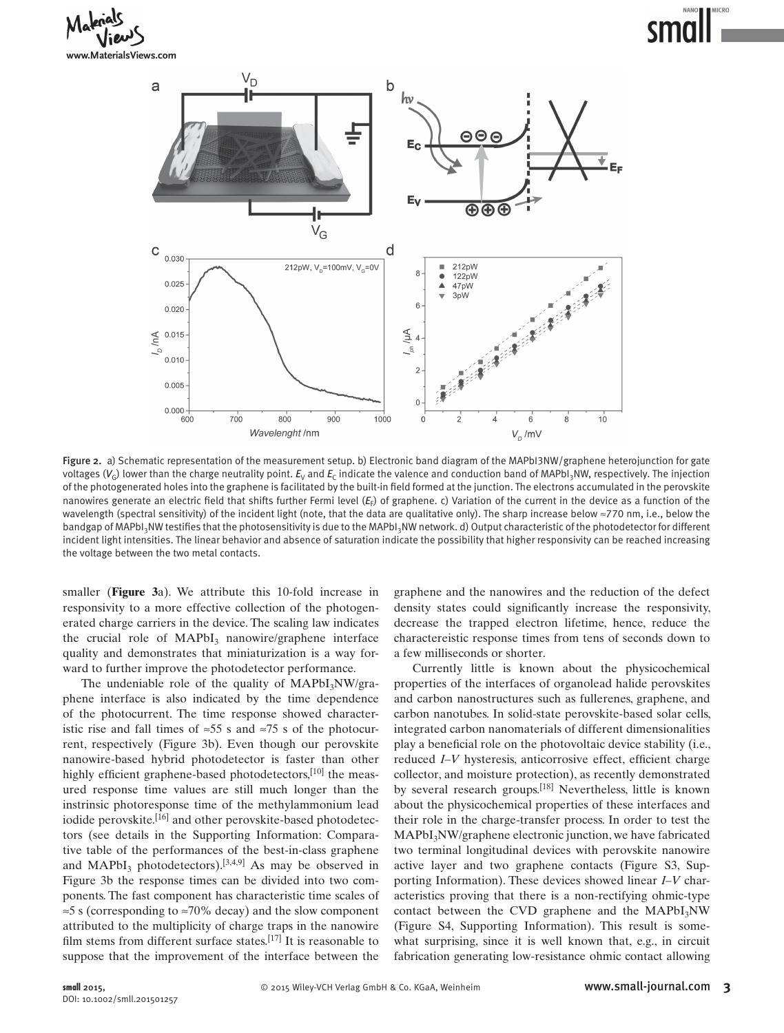# MICRO



Figure 2. a) Schematic representation of the measurement setup. b) Electronic band diagram of the MAPbI3NW/graphene heterojunction for gate voltages ( $V_G$ ) lower than the charge neutrality point.  $E_V$  and  $E_C$  indicate the valence and conduction band of MAPbI<sub>3</sub>NW, respectively. The injection of the photogenerated holes into the graphene is facilitated by the built-in field formed at the junction. The electrons accumulated in the perovskite nanowires generate an electric field that shifts further Fermi level (*E<sub>F</sub>*) of graphene. c) Variation of the current in the device as a function of the wavelength (spectral sensitivity) of the incident light (note, that the data are qualitative only). The sharp increase below ≈770 nm, i.e., below the bandgap of MAPbI<sub>3</sub>NW testifies that the photosensitivity is due to the MAPbI<sub>3</sub>NW network. d) Output characteristic of the photodetector for different incident light intensities. The linear behavior and absence of saturation indicate the possibility that higher responsivity can be reached increasing the voltage between the two metal contacts.

smaller (**Figure** 3a). We attribute this 10-fold increase in responsivity to a more effective collection of the photogenerated charge carriers in the device. The scaling law indicates the crucial role of  $MAPbI_3$  nanowire/graphene interface quality and demonstrates that miniaturization is a way forward to further improve the photodetector performance.

The undeniable role of the quality of  $MAPbI_3NW/gra$ phene interface is also indicated by the time dependence of the photocurrent. The time response showed characteristic rise and fall times of ≈55 s and ≈75 s of the photocurrent, respectively (Figure 3b). Even though our perovskite nanowire-based hybrid photodetector is faster than other highly efficient graphene-based photodetectors,  $[10]$  the measured response time values are still much longer than the instrinsic photoresponse time of the methylammonium lead iodide perovskite.<sup>[16]</sup> and other perovskite-based photodetectors (see details in the Supporting Information: Comparative table of the performances of the best-in-class graphene and  $MAPbI_3$  photodetectors).<sup>[3,4,9]</sup> As may be observed in Figure 3b the response times can be divided into two components. The fast component has characteristic time scales of ≈5 s (corresponding to ≈70% decay) and the slow component attributed to the multiplicity of charge traps in the nanowire film stems from different surface states.  $[17]$  It is reasonable to suppose that the improvement of the interface between the

graphene and the nanowires and the reduction of the defect density states could significantly increase the responsivity, decrease the trapped electron lifetime, hence, reduce the charactereistic response times from tens of seconds down to a few milliseconds or shorter.

 Currently little is known about the physicochemical properties of the interfaces of organolead halide perovskites and carbon nanostructures such as fullerenes, graphene, and carbon nanotubes. In solid-state perovskite-based solar cells, integrated carbon nanomaterials of different dimensionalities play a beneficial role on the photovoltaic device stability (i.e., reduced *I–V* hysteresis, anticorrosive effect, efficient charge collector, and moisture protection), as recently demonstrated by several research groups.<sup>[18]</sup> Nevertheless, little is known about the physicochemical properties of these interfaces and their role in the charge-transfer process. In order to test the MAPbI<sub>3</sub>NW/graphene electronic junction, we have fabricated two terminal longitudinal devices with perovskite nanowire active layer and two graphene contacts (Figure S3, Supporting Information). These devices showed linear *I–V* characteristics proving that there is a non-rectifying ohmic-type contact between the CVD graphene and the  $MAPbI<sub>3</sub>NW$ (Figure S4, Supporting Information). This result is somewhat surprising, since it is well known that, e.g., in circuit fabrication generating low-resistance ohmic contact allowing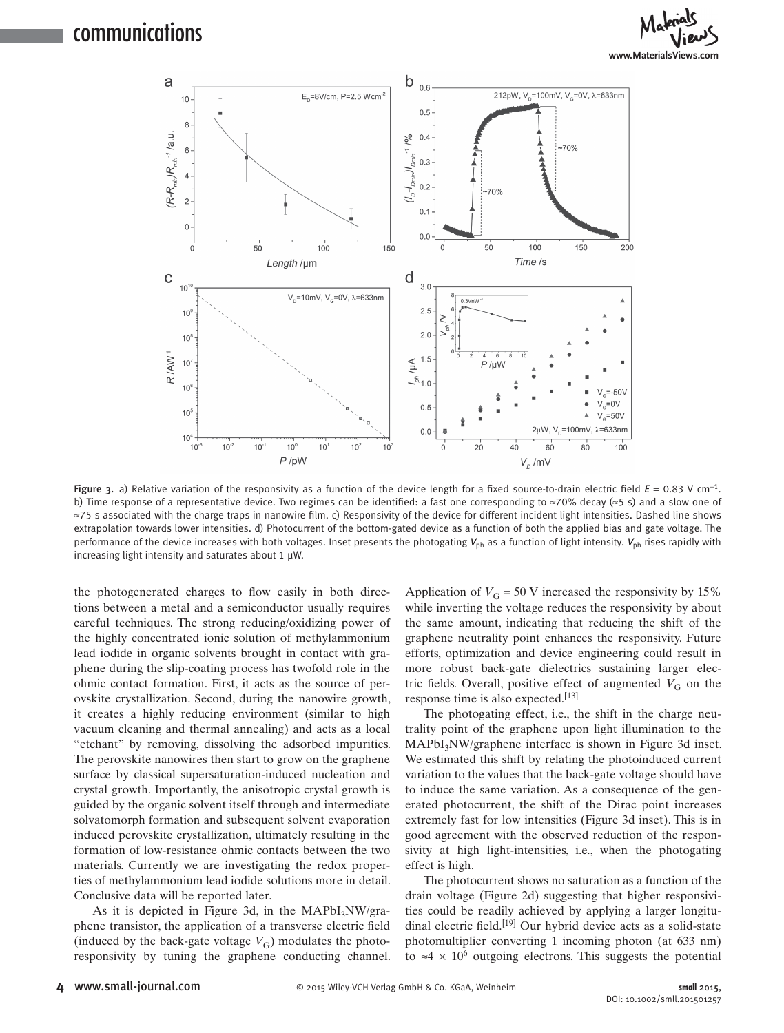

Figure 3. a) Relative variation of the responsivity as a function of the device length for a fixed source-to-drain electric field  $E = 0.83$  V cm<sup>-1</sup>. b) Time response of a representative device. Two regimes can be identified: a fast one corresponding to ≈70% decay (≈5 s) and a slow one of ≈75 s associated with the charge traps in nanowire film. c) Responsivity of the device for different incident light intensities. Dashed line shows extrapolation towards lower intensities. d) Photocurrent of the bottom-gated device as a function of both the applied bias and gate voltage. The performance of the device increases with both voltages. Inset presents the photogating  $V_{ph}$  as a function of light intensity.  $V_{ph}$  rises rapidly with increasing light intensity and saturates about 1  $\mu$ W.

the photogenerated charges to flow easily in both directions between a metal and a semiconductor usually requires careful techniques. The strong reducing/oxidizing power of the highly concentrated ionic solution of methylammonium lead iodide in organic solvents brought in contact with graphene during the slip-coating process has twofold role in the ohmic contact formation. First, it acts as the source of perovskite crystallization. Second, during the nanowire growth, it creates a highly reducing environment (similar to high vacuum cleaning and thermal annealing) and acts as a local "etchant" by removing, dissolving the adsorbed impurities. The perovskite nanowires then start to grow on the graphene surface by classical supersaturation-induced nucleation and crystal growth. Importantly, the anisotropic crystal growth is guided by the organic solvent itself through and intermediate solvatomorph formation and subsequent solvent evaporation induced perovskite crystallization, ultimately resulting in the formation of low-resistance ohmic contacts between the two materials. Currently we are investigating the redox properties of methylammonium lead iodide solutions more in detail. Conclusive data will be reported later.

As it is depicted in Figure 3d, in the  $MAPbI_3NW/gra$ phene transistor, the application of a transverse electric field (induced by the back-gate voltage  $V_G$ ) modulates the photoresponsivity by tuning the graphene conducting channel. Application of  $V_G = 50$  V increased the responsivity by 15% while inverting the voltage reduces the responsivity by about the same amount, indicating that reducing the shift of the graphene neutrality point enhances the responsivity. Future efforts, optimization and device engineering could result in more robust back-gate dielectrics sustaining larger electric fields. Overall, positive effect of augmented  $V_G$  on the response time is also expected. $[13]$ 

 The photogating effect, i.e., the shift in the charge neutrality point of the graphene upon light illumination to the MAPbI<sub>3</sub>NW/graphene interface is shown in Figure 3d inset. We estimated this shift by relating the photoinduced current variation to the values that the back-gate voltage should have to induce the same variation. As a consequence of the generated photocurrent, the shift of the Dirac point increases extremely fast for low intensities (Figure 3d inset). This is in good agreement with the observed reduction of the responsivity at high light-intensities, i.e., when the photogating effect is high.

 The photocurrent shows no saturation as a function of the drain voltage (Figure 2d) suggesting that higher responsivities could be readily achieved by applying a larger longitudinal electric field.<sup>[19]</sup> Our hybrid device acts as a solid-state photomultiplier converting 1 incoming photon (at 633 nm) to ≈4  $\times$  10<sup>6</sup> outgoing electrons. This suggests the potential